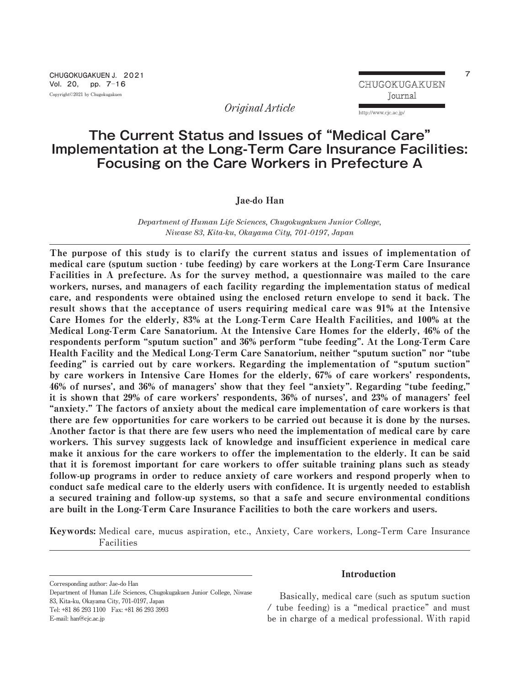http://www.cjc.ac.jp/

*Original Article*

# **The Current Status and Issues of "Medical Care" Implementation at the Long-Term Care Insurance Facilities: Focusing on the Care Workers in Prefecture A**

Jae-do Han

*Department of Human Life Sciences, Chugokugakuen Junior College, Niwase 83, Kita-ku, Okayama City, 701-0197, Japan*

The purpose of this study is to clarify the current status and issues of implementation of medical care (sputum suction  $\cdot$  tube feeding) by care workers at the Long-Term Care Insurance Facilities in A prefecture. As for the survey method, a questionnaire was mailed to the care workers, nurses, and managers of each facility regarding the implementation status of medical care, and respondents were obtained using the enclosed return envelope to send it back. The result shows that the acceptance of users requiring medical care was 91% at the Intensive Care Homes for the elderly, 83% at the Long-Term Care Health Facilities, and 100% at the Medical Long-Term Care Sanatorium. At the Intensive Care Homes for the elderly, 46% of the respondents perform "sputum suction" and 36% perform "tube feeding". At the Long-Term Care Health Facility and the Medical Long-Term Care Sanatorium, neither "sputum suction" nor "tube feeding" is carried out by care workers. Regarding the implementation of "sputum suction" by care workers in Intensive Care Homes for the elderly, 67% of care workers' respondents, 46% of nurses', and 36% of managers' show that they feel "anxiety". Regarding "tube feeding," it is shown that 29% of care workers' respondents, 36% of nurses', and 23% of managers' feel "anxiety." The factors of anxiety about the medical care implementation of care workers is that there are few opportunities for care workers to be carried out because it is done by the nurses. Another factor is that there are few users who need the implementation of medical care by care workers. This survey suggests lack of knowledge and insufficient experience in medical care make it anxious for the care workers to offer the implementation to the elderly. It can be said that it is foremost important for care workers to offer suitable training plans such as steady follow-up programs in order to reduce anxiety of care workers and respond properly when to conduct safe medical care to the elderly users with confidence. It is urgently needed to establish a secured training and follow-up systems, so that a safe and secure environmental conditions are built in the Long‐Term Care Insurance Facilities to both the care workers and users.

Keywords: **Medical care, mucus aspiration, etc., Anxiety, Care workers, Long‐Term Care Insurance Facilities**

**Corresponding author: Jae-do Han**

**Department of Human Life Sciences, Chugokugakuen Junior College, Niwase 83, Kita-ku, Okayama City, 701-0197, Japan Tel: +81 86 293 1100 Fax: +81 86 293 3993 E-mail: han@cjc.ac.jp**

# Introduction

**Basically, medical care (such as sputum suction / tube feeding) is a "medical practice" and must be in charge of a medical professional. With rapid**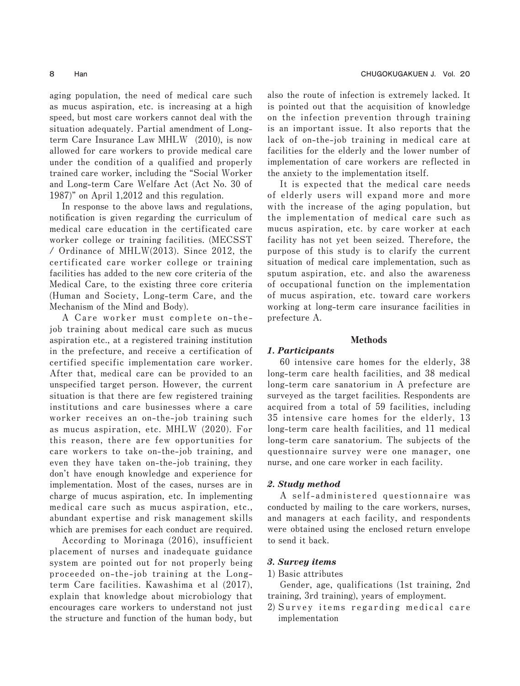**aging population, the need of medical care such as mucus aspiration, etc. is increasing at a high speed, but most care workers cannot deal with the situation adequately. Partial amendment of Longterm Care Insurance Law MHLW (2010), is now allowed for care workers to provide medical care under the condition of a qualified and properly trained care worker, including the "Social Worker and Long-term Care Welfare Act (Act No. 30 of 1987)" on April 1,2012 and this regulation.**

**In response to the above laws and regulations, notification is given regarding the curriculum of medical care education in the certificated care worker college or training facilities. (MECSST / Ordinance of MHLW(2013). Since 2012, the certificated care worker college or training facilities has added to the new core criteria of the Medical Care, to the existing three core criteria (Human and Society, Long-term Care, and the Mechanism of the Mind and Body).** 

**A Care worker must complete on- thejob training about medical care such as mucus aspiration etc., at a registered training institution in the prefecture, and receive a certification of certified specific implementation care worker. After that, medical care can be provided to an unspecified target person. However, the current situation is that there are few registered training institutions and care businesses where a care worker receives an on-the-job training such as mucus aspiration, etc. MHLW (2020). For this reason, there are few opportunities for care workers to take on-the-job training, and even they have taken on-the-job training, they don't have enough knowledge and experience for implementation. Most of the cases, nurses are in charge of mucus aspiration, etc. In implementing medical care such as mucus aspiration, etc., abundant expertise and risk management skills which are premises for each conduct are required.**

**According to Morinaga (2016), insufficient placement of nurses and inadequate guidance system are pointed out for not properly being proceeded on-the-job training at the Longterm Care facilities. Kawashima et al (2017), explain that knowledge about microbiology that encourages care workers to understand not just the structure and function of the human body, but**

**also the route of infection is extremely lacked. It is pointed out that the acquisition of knowledge on the infection prevention through training is an important issue. It also reports that the lack of on-the-job training in medical care at facilities for the elderly and the lower number of implementation of care workers are reflected in the anxiety to the implementation itself.**

**It is expected that the medical care needs of elderly users will expand more and more with the increase of the aging population, but the implementation of medical care such as mucus aspiration, etc. by care worker at each facility has not yet been seized. Therefore, the purpose of this study is to clarify the current situation of medical care implementation, such as sputum aspiration, etc. and also the awareness of occupational function on the implementation of mucus aspiration, etc. toward care workers working at long-term care insurance facilities in prefecture A.**

#### Methods

#### *1. Participants*

**60 intensive care homes for the elderly, 38 long-term care health facilities, and 38 medical long-term care sanatorium in A prefecture are surveyed as the target facilities. Respondents are acquired from a total of 59 facilities, including 35 intensive care homes for the elderly, 13 long-term care health facilities, and 11 medical long-term care sanatorium. The subjects of the questionnaire survey were one manager, one nurse, and one care worker in each facility.**

#### *2. Study method*

**A self-administered questionnaire was conducted by mailing to the care workers, nurses, and managers at each facility, and respondents were obtained using the enclosed return envelope to send it back.**

#### *3. Survey items*

**1) Basic attributes**

**Gender, age, qualifications (1st training, 2nd training, 3rd training), years of employment.**

**2) Survey items regarding medical care implementation**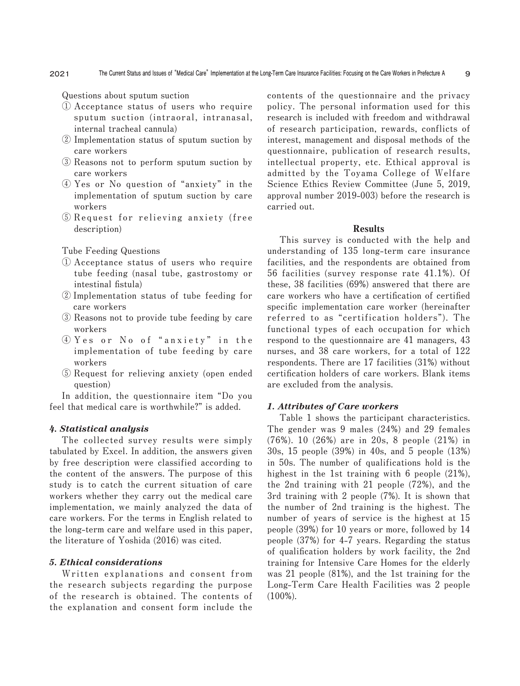**Questions about sputum suction**

- **① Acceptance status of users who require sputum suction (intraoral, intranasal, internal tracheal cannula)**
- **② Implementation status of sputum suction by care workers**
- **③ Reasons not to perform sputum suction by care workers**
- **④ Yes or No question of "anxiety" in the implementation of sputum suction by care workers**
- **⑤ Request for relieving anxiety (free description)**

**Tube Feeding Questions**

- **① Acceptance status of users who require tube feeding (nasal tube, gastrostomy or intestinal fistula)**
- **② Implementation status of tube feeding for care workers**
- **③ Reasons not to provide tube feeding by care workers**
- **④ Y e s o r N o o f "anxiety" i n the implementation of tube feeding by care workers**
- **⑤ Request for relieving anxiety (open ended question)**

**In addition, the questionnaire item "Do you feel that medical care is worthwhile?" is added.**

#### *4. Statistical analysis*

**The collected survey results were simply tabulated by Excel. In addition, the answers given by free description were classified according to the content of the answers. The purpose of this study is to catch the current situation of care workers whether they carry out the medical care implementation, we mainly analyzed the data of care workers. For the terms in English related to the long-term care and welfare used in this paper, the literature of Yoshida (2016) was cited.**

#### *5. Ethical considerations*

**Written explanations and consent from the research subjects regarding the purpose of the research is obtained. The contents of the explanation and consent form include the**

**contents of the questionnaire and the privacy policy. The personal information used for this research is included with freedom and withdrawal of research participation, rewards, conflicts of interest, management and disposal methods of the questionnaire, publication of research results, intellectual property, etc. Ethical approval is admitted by the Toyama College of Welfare Science Ethics Review Committee (June 5, 2019, approval number 2019-003) before the research is carried out.**

#### Results

**This survey is conducted with the help and understanding of 135 long-term care insurance facilities, and the respondents are obtained from 56 facilities (survey response rate 41.1%). Of these, 38 facilities (69%) answered that there are care workers who have a certification of certified specific implementation care worker (hereinafter referred to as "certification holders"). The functional types of each occupation for which respond to the questionnaire are 41 managers, 43 nurses, and 38 care workers, for a total of 122 respondents. There are 17 facilities (31%) without certification holders of care workers. Blank items are excluded from the analysis.**

#### *1. Attributes of Care workers*

**Table 1 shows the participant characteristics. The gender was 9 males (24%) and 29 females (76%). 10 (26%) are in 20s, 8 people (21%) in 30s, 15 people (39%) in 40s, and 5 people (13%) in 50s. The number of qualifications hold is the highest in the 1st training with 6 people (21%), the 2nd training with 21 people (72%), and the 3rd training with 2 people (7%). It is shown that the number of 2nd training is the highest. The number of years of service is the highest at 15 people (39%) for 10 years or more, followed by 14 people (37%) for 4-7 years. Regarding the status of qualification holders by work facility, the 2nd training for Intensive Care Homes for the elderly was 21 people (81%), and the 1st training for the Long-Term Care Health Facilities was 2 people (100%).**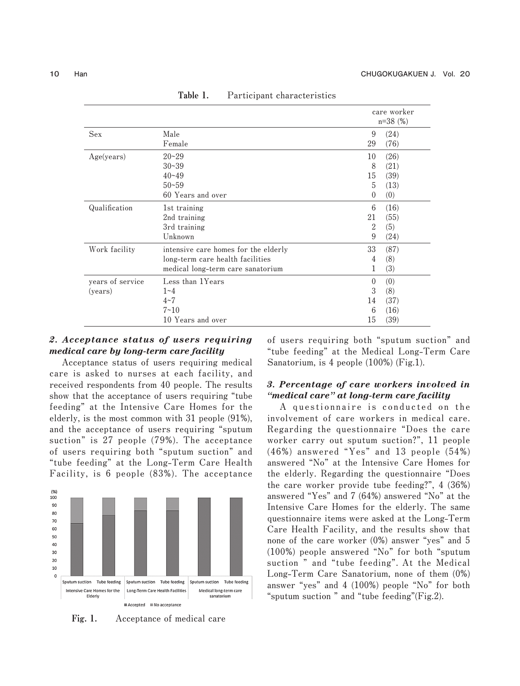|                             |                                                                         |                                | care worker<br>$n=38$ (%)          |  |
|-----------------------------|-------------------------------------------------------------------------|--------------------------------|------------------------------------|--|
| <b>Sex</b>                  | Male                                                                    | 9                              | (24)                               |  |
|                             | Female                                                                  | 29                             | (76)                               |  |
| Age(years)                  | $20 - 29$                                                               | 10                             | (26)                               |  |
|                             | $30 - 39$                                                               | 8                              | (21)                               |  |
|                             | $40 - 49$                                                               | 15                             | (39)                               |  |
|                             | $50 - 59$                                                               | 5                              | (13)                               |  |
|                             | 60 Years and over                                                       | $\theta$                       | (0)                                |  |
| Qualification               | 1st training                                                            | 6                              | (16)                               |  |
|                             | 2nd training                                                            | 21                             | (55)                               |  |
|                             | 3rd training                                                            | 2                              | (5)                                |  |
|                             | Unknown                                                                 | 9                              | (24)                               |  |
| Work facility               | intensive care homes for the elderly                                    | 33                             | (87)                               |  |
|                             | long-term care health facilities                                        | 4                              | (8)                                |  |
|                             | medical long-term care sanatorium                                       | 1                              | (3)                                |  |
| years of service<br>(years) | Less than 1Years<br>$1 - 4$<br>$4 - 7$<br>$7 - 10$<br>10 Years and over | $\theta$<br>3<br>14<br>6<br>15 | (0)<br>(8)<br>(37)<br>(16)<br>(39) |  |

Table 1. **Participant characteristics**

# *2. Acceptance status of users requiring medical care by long-term care facility*

**Acceptance status of users requiring medical care is asked to nurses at each facility, and received respondents from 40 people. The results show that the acceptance of users requiring "tube feeding" at the Intensive Care Homes for the elderly, is the most common with 31 people (91%), and the acceptance of users requiring "sputum suction" is 27 people (79%). The acceptance of users requiring both "sputum suction" and "tube feeding" at the Long-Term Care Health Facility, is 6 people (83%). The acceptance**



Fig. 1. **Acceptance of medical care**

**of users requiring both "sputum suction" and "tube feeding" at the Medical Long-Term Care Sanatorium, is 4 people (100%) (Fig.1).**

# *3. Percentage of care workers involved in "medical care" at long-term care facility*

**A questionnaire is conducted on the involvement of care workers in medical care. Regarding the questionnaire "Does the care worker carry out sputum suction?", 11 people (46%) answered "Yes" and 13 people (54%) answered "No" at the Intensive Care Homes for the elderly. Regarding the questionnaire "Does the care worker provide tube feeding?", 4 (36%) answered "Yes" and 7 (64%) answered "No" at the Intensive Care Homes for the elderly. The same questionnaire items were asked at the Long-Term Care Health Facility, and the results show that none of the care worker (0%) answer "yes" and 5 (100%) people answered "No" for both "sputum suction " and "tube feeding". At the Medical Long-Term Care Sanatorium, none of them (0%) answer "yes" and 4 (100%) people "No" for both "sputum suction " and "tube feeding"(Fig.2).**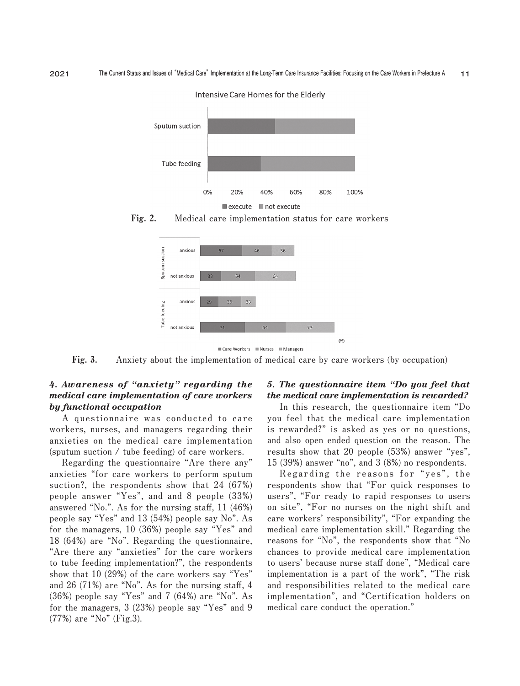

Intensive Care Homes for the Elderly





Fig. 3. **Anxiety about the implementation of medical care by care workers (by occupation)**

# *4. Awareness of "anxiety" regarding the medical care implementation of care workers by functional occupation*

**A questionnaire was conducted to care workers, nurses, and managers regarding their anxieties on the medical care implementation (sputum suction / tube feeding) of care workers.**

**Regarding the questionnaire "Are there any" anxieties "for care workers to perform sputum suction?, the respondents show that 24 (67%) people answer "Yes", and and 8 people (33%) answered "No.". As for the nursing staff, 11 (46%) people say "Yes" and 13 (54%) people say No". As for the managers, 10 (36%) people say "Yes" and 18 (64%) are "No". Regarding the questionnaire, "Are there any "anxieties" for the care workers to tube feeding implementation?", the respondents show that 10 (29%) of the care workers say "Yes" and 26 (71%) are "No". As for the nursing staff, 4 (36%) people say "Yes" and 7 (64%) are "No". As for the managers, 3 (23%) people say "Yes" and 9 (77%) are "No" (Fig.3).**

### *5. The questionnaire item "Do you feel that the medical care implementation is rewarded?*

**In this research, the questionnaire item "Do you feel that the medical care implementation is rewarded?" is asked as yes or no questions, and also open ended question on the reason. The results show that 20 people (53%) answer "yes", 15 (39%) answer "no", and 3 (8%) no respondents.**

**Regarding the reasons for "yes", the respondents show that "For quick responses to users", "For ready to rapid responses to users on site", "For no nurses on the night shift and care workers' responsibility", "For expanding the medical care implementation skill." Regarding the reasons for "No", the respondents show that "No chances to provide medical care implementation to users' because nurse staff done", "Medical care implementation is a part of the work", "The risk and responsibilities related to the medical care implementation", and "Certification holders on medical care conduct the operation."**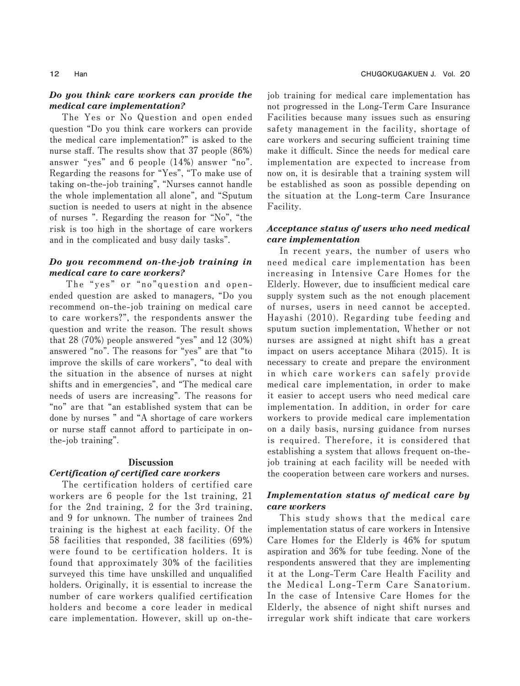# *Do you think care workers can provide the medical care implementation?*

**The Yes or No Question and open ended question "Do you think care workers can provide the medical care implementation?" is asked to the nurse staff. The results show that 37 people (86%) answer "yes" and 6 people (14%) answer "no". Regarding the reasons for "Yes", "To make use of taking on-the-job training", "Nurses cannot handle the whole implementation all alone", and "Sputum suction is needed to users at night in the absence of nurses ". Regarding the reason for "No", "the risk is too high in the shortage of care workers and in the complicated and busy daily tasks".**

# *Do you recommend on-the-job training in medical care to care workers?*

**The "yes" or "no"question and openended question are asked to managers, "Do you recommend on-the-job training on medical care to care workers?", the respondents answer the question and write the reason. The result shows that 28 (70%) people answered "yes" and 12 (30%) answered "no". The reasons for "yes" are that "to improve the skills of care workers", "to deal with the situation in the absence of nurses at night shifts and in emergencies", and "The medical care needs of users are increasing". The reasons for "no" are that "an established system that can be done by nurses " and "A shortage of care workers or nurse staff cannot afford to participate in onthe-job training".**

#### Discussion

### *Certification of certified care workers*

**The certification holders of certified care workers are 6 people for the 1st training, 21 for the 2nd training, 2 for the 3rd training, and 9 for unknown. The number of trainees 2nd training is the highest at each facility. Of the 58 facilities that responded, 38 facilities (69%) were found to be certification holders. It is found that approximately 30% of the facilities surveyed this time have unskilled and unqualified holders. Originally, it is essential to increase the number of care workers qualified certification holders and become a core leader in medical care implementation. However, skill up on-the-** **job training for medical care implementation has not progressed in the Long‐Term Care Insurance Facilities because many issues such as ensuring safety management in the facility, shortage of care workers and securing sufficient training time make it difficult. Since the needs for medical care implementation are expected to increase from now on, it is desirable that a training system will be established as soon as possible depending on the situation at the Long-term Care Insurance Facility.**

# *Acceptance status of users who need medical care implementation*

**In recent years, the number of users who need medical care implementation has been increasing in Intensive Care Homes for the Elderly. However, due to insufficient medical care supply system such as the not enough placement of nurses, users in need cannot be accepted. Hayashi (2010). Regarding tube feeding and sputum suction implementation, Whether or not nurses are assigned at night shift has a great impact on users acceptance Mihara (2015). It is necessary to create and prepare the environment in which care workers can safely provide medical care implementation, in order to make it easier to accept users who need medical care implementation. In addition, in order for care workers to provide medical care implementation on a daily basis, nursing guidance from nurses is required. Therefore, it is considered that establishing a system that allows frequent on-thejob training at each facility will be needed with the cooperation between care workers and nurses.**

# *Implementation status of medical care by care workers*

**This study shows that the medical care implementation status of care workers in Intensive Care Homes for the Elderly is 46% for sputum aspiration and 36% for tube feeding. None of the respondents answered that they are implementing it at the Long-Term Care Health Facility and the Medical Long-Term Care Sanatorium. In the case of Intensive Care Homes for the Elderly, the absence of night shift nurses and irregular work shift indicate that care workers**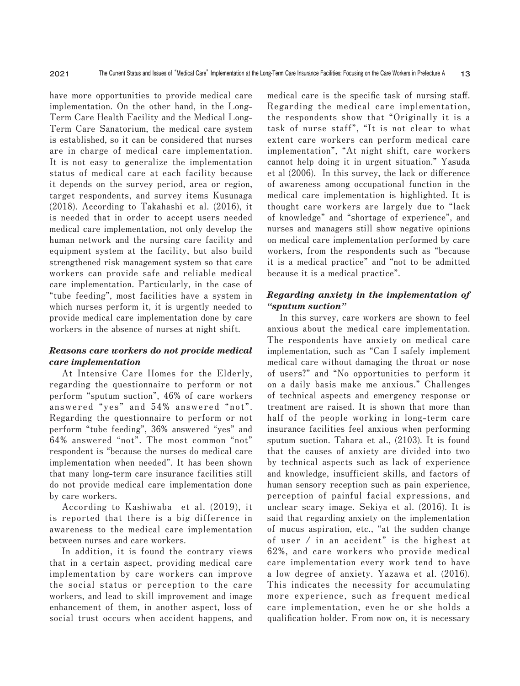**have more opportunities to provide medical care implementation. On the other hand, in the Long-Term Care Health Facility and the Medical Long-Term Care Sanatorium, the medical care system is established, so it can be considered that nurses are in charge of medical care implementation. It is not easy to generalize the implementation status of medical care at each facility because it depends on the survey period, area or region, target respondents, and survey items Kusunaga (2018). According to Takahashi et al. (2016), it is needed that in order to accept users needed medical care implementation, not only develop the human network and the nursing care facility and equipment system at the facility, but also build strengthened risk management system so that care workers can provide safe and reliable medical care implementation. Particularly, in the case of "tube feeding", most facilities have a system in which nurses perform it, it is urgently needed to provide medical care implementation done by care workers in the absence of nurses at night shift.**

# *Reasons care workers do not provide medical care implementation*

**At Intensive Care Homes for the Elderly, regarding the questionnaire to perform or not perform "sputum suction", 46% of care workers answered "yes" and 54% answered "not". Regarding the questionnaire to perform or not perform "tube feeding", 36% answered "yes" and 64% answered "not". The most common "not" respondent is "because the nurses do medical care implementation when needed". It has been shown that many long-term care insurance facilities still do not provide medical care implementation done by care workers.**

**According to Kashiwaba et al. (2019), it is reported that there is a big difference in awareness to the medical care implementation between nurses and care workers.**

**In addition, it is found the contrary views that in a certain aspect, providing medical care implementation by care workers can improve the social status or perception to the care workers, and lead to skill improvement and image enhancement of them, in another aspect, loss of social trust occurs when accident happens, and**

**medical care is the specific task of nursing staff. Regarding the medical care implementation, the respondents show that "Originally it is a task of nurse staff", "It is not clear to what extent care workers can perform medical care implementation", "At night shift, care workers cannot help doing it in urgent situation." Yasuda et al (2006). In this survey, the lack or difference of awareness among occupational function in the medical care implementation is highlighted. It is thought care workers are largely due to "lack of knowledge" and "shortage of experience", and nurses and managers still show negative opinions on medical care implementation performed by care workers, from the respondents such as "because it is a medical practice" and "not to be admitted because it is a medical practice".**

# *Regarding anxiety in the implementation of "sputum suction"*

**In this survey, care workers are shown to feel anxious about the medical care implementation. The respondents have anxiety on medical care implementation, such as "Can I safely implement medical care without damaging the throat or nose of users?" and "No opportunities to perform it on a daily basis make me anxious." Challenges of technical aspects and emergency response or treatment are raised. It is shown that more than half of the people working in long-term care insurance facilities feel anxious when performing sputum suction. Tahara et al., (2103). It is found that the causes of anxiety are divided into two by technical aspects such as lack of experience and knowledge, insufficient skills, and factors of human sensory reception such as pain experience, perception of painful facial expressions, and unclear scary image. Sekiya et al. (2016). It is said that regarding anxiety on the implementation of mucus aspiration, etc., "at the sudden change of user / in an accident" is the highest at 62%, and care workers who provide medical care implementation every work tend to have a low degree of anxiety. Yazawa et al. (2016). This indicates the necessity for accumulating more experience, such as frequent medical care implementation, even he or she holds a qualification holder. From now on, it is necessary**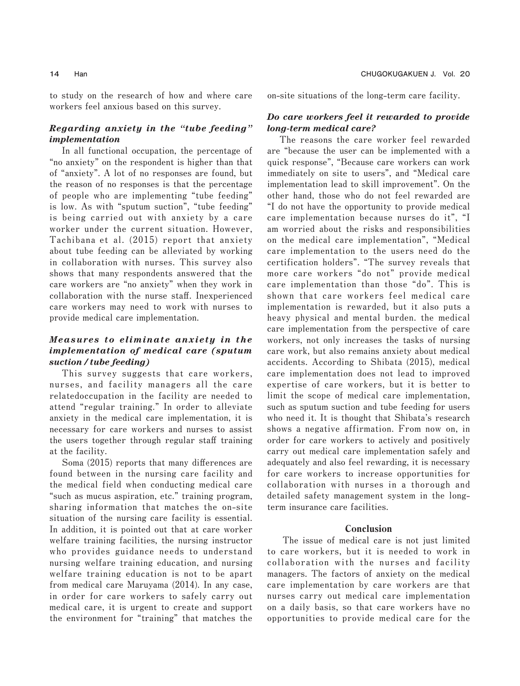**to study on the research of how and where care workers feel anxious based on this survey.**

# *Regarding anxiety in the "tube feeding" implementation*

**In all functional occupation, the percentage of "no anxiety" on the respondent is higher than that of "anxiety". A lot of no responses are found, but the reason of no responses is that the percentage of people who are implementing "tube feeding" is low. As with "sputum suction", "tube feeding" is being carried out with anxiety by a care worker under the current situation. However, Tachibana et al. (2015) report that anxiety about tube feeding can be alleviated by working in collaboration with nurses. This survey also shows that many respondents answered that the care workers are "no anxiety" when they work in collaboration with the nurse staff. Inexperienced care workers may need to work with nurses to provide medical care implementation.**

# *Measures to eliminate anxiety in the implementation of medical care (sputum suction / tube feeding)*

**This survey suggests that care workers, nurses, and facility managers all the care relatedoccupation in the facility are needed to attend "regular training." In order to alleviate anxiety in the medical care implementation, it is necessary for care workers and nurses to assist the users together through regular staff training at the facility.**

**Soma (2015) reports that many differences are found between in the nursing care facility and the medical field when conducting medical care "such as mucus aspiration, etc." training program, sharing information that matches the on-site situation of the nursing care facility is essential. In addition, it is pointed out that at care worker welfare training facilities, the nursing instructor who provides guidance needs to understand nursing welfare training education, and nursing welfare training education is not to be apart from medical care Maruyama (2014). In any case, in order for care workers to safely carry out medical care, it is urgent to create and support the environment for "training" that matches the**

**on-site situations of the long-term care facility.**

# *Do care workers feel it rewarded to provide long-term medical care?*

**The reasons the care worker feel rewarded are "because the user can be implemented with a quick response", "Because care workers can work immediately on site to users", and "Medical care implementation lead to skill improvement". On the other hand, those who do not feel rewarded are "I do not have the opportunity to provide medical care implementation because nurses do it", "I am worried about the risks and responsibilities on the medical care implementation", "Medical care implementation to the users need do the certification holders". "The survey reveals that more care workers "do not" provide medical care implementation than those "do". This is shown that care workers feel medical care implementation is rewarded, but it also puts a heavy physical and mental burden. the medical care implementation from the perspective of care workers, not only increases the tasks of nursing care work, but also remains anxiety about medical accidents. According to Shibata (2015), medical care implementation does not lead to improved expertise of care workers, but it is better to limit the scope of medical care implementation, such as sputum suction and tube feeding for users who need it. It is thought that Shibata's research shows a negative affirmation. From now on, in order for care workers to actively and positively carry out medical care implementation safely and adequately and also feel rewarding, it is necessary for care workers to increase opportunities for collaboration with nurses in a thorough and detailed safety management system in the longterm insurance care facilities.**

# Conclusion

**The issue of medical care is not just limited to care workers, but it is needed to work in collaboration with the nurses and facility managers. The factors of anxiety on the medical care implementation by care workers are that nurses carry out medical care implementation on a daily basis, so that care workers have no opportunities to provide medical care for the**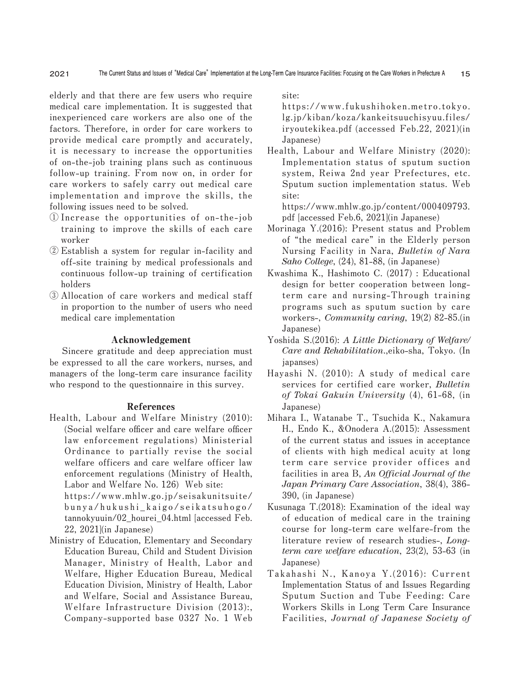**elderly and that there are few users who require medical care implementation. It is suggested that inexperienced care workers are also one of the factors. Therefore, in order for care workers to provide medical care promptly and accurately, it is necessary to increase the opportunities of on-the-job training plans such as continuous follow-up training. From now on, in order for care workers to safely carry out medical care implementation and improve the skills, the following issues need to be solved.**

- **① Increase the opportunities of on-the-job training to improve the skills of each care worker**
- **② Establish a system for regular in-facility and off-site training by medical professionals and continuous follow-up training of certification holders**
- **③ Allocation of care workers and medical staff in proportion to the number of users who need medical care implementation**

### Acknowledgement

**Sincere gratitude and deep appreciation must be expressed to all the care workers, nurses, and managers of the long-term care insurance facility who respond to the questionnaire in this survey.** 

#### References

**Health, Labour and Welfare Ministry (2010): (Social welfare officer and care welfare officer law enforcement regulations) Ministerial Ordinance to partially revise the social welfare officers and care welfare officer law enforcement regulations (Ministry of Health, Labor and Welfare No. 126) Web site:**

**https://www.mhlw.go.jp/seisakunitsuite/ bunya/hukushi\_kaigo/seikatsuhogo/ tannokyuuin/02\_hourei\_04.html [accessed Feb. 22, 2021](in Japanese)**

**Ministry of Education, Elementary and Secondary Education Bureau, Child and Student Division Manager, Ministry of Health, Labor and Welfare, Higher Education Bureau, Medical Education Division, Ministry of Health, Labor and Welfare, Social and Assistance Bureau, Welfare Infrastructure Division (2013):, Company-supported base 0327 No. 1 Web** **site:**

**https://www.fukushihoken.metro.tokyo. lg.jp/kiban/koza/kankeitsuuchisyuu.files/ iryoutekikea.pdf (accessed Feb.22, 2021)(in Japanese)**

**Health, Labour and Welfare Ministry (2020): Implementation status of sputum suction system, Reiwa 2nd year Prefectures, etc. Sputum suction implementation status. Web site:**

**https://www.mhlw.go.jp/content/000409793. pdf [accessed Feb.6, 2021](in Japanese)**

- **Morinaga Y.(2016): Present status and Problem of "the medical care" in the Elderly person Nursing Facility in Nara,** *Bulletin of Nara Saho College***, (24), 81-88, (in Japanese)**
- **Kwashima K., Hashimoto C. (2017) : Educational design for better cooperation between longterm care and nursing-Through training programs such as sputum suction by care workers-,** *Community caring***, 19(2) 82-85.(in Japanese)**
- **Yoshida S.(2016):** *A Little Dictionary of Welfare/ Care and Rehabilitation***.,eiko-sha, Tokyo. (In japanses)**
- **Hayashi N. (2010): A study of medical care services for certified care worker,** *Bulletin of Tokai Gakuin University* **(4), 61-68, (in Japanese)**
- **Mihara I., Watanabe T., Tsuchida K., Nakamura H., Endo K., &Onodera A.(2015): Assessment of the current status and issues in acceptance of clients with high medical acuity at long term care service provider offices and facilities in area B,** *An Official Journal of the Japan Primary Care Association***, 38(4), 386-390, (in Japanese)**
- **Kusunaga T.(2018): Examination of the ideal way of education of medical care in the training course for long-term care welfare-from the literature review of research studies-,** *Longterm care welfare education***, 23(2), 53-63 (in Japanese)**
- **Takahashi N., Kanoya Y.(2016): Current Implementation Status of and Issues Regarding Sputum Suction and Tube Feeding: Care Workers Skills in Long Term Care Insurance Facilities,** *Journal of Japanese Society of*